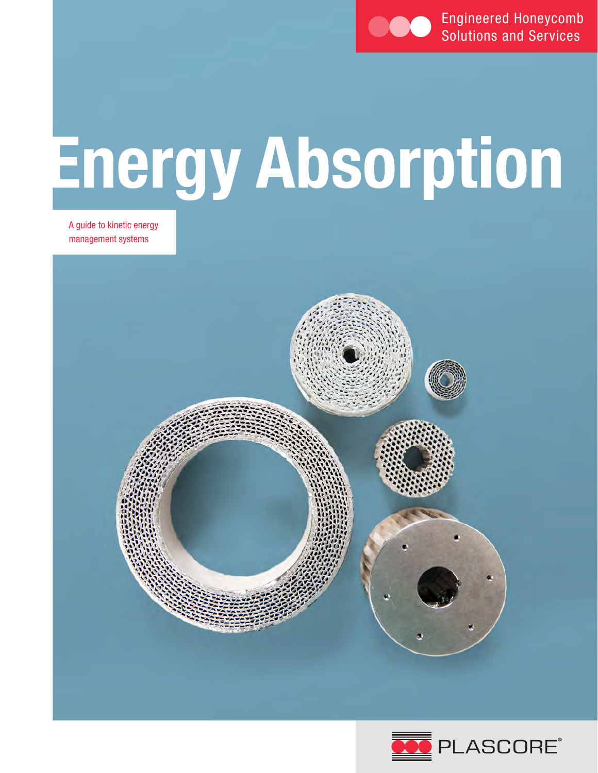

# **Energy Absorption**

A guide to kinetic energy management systems



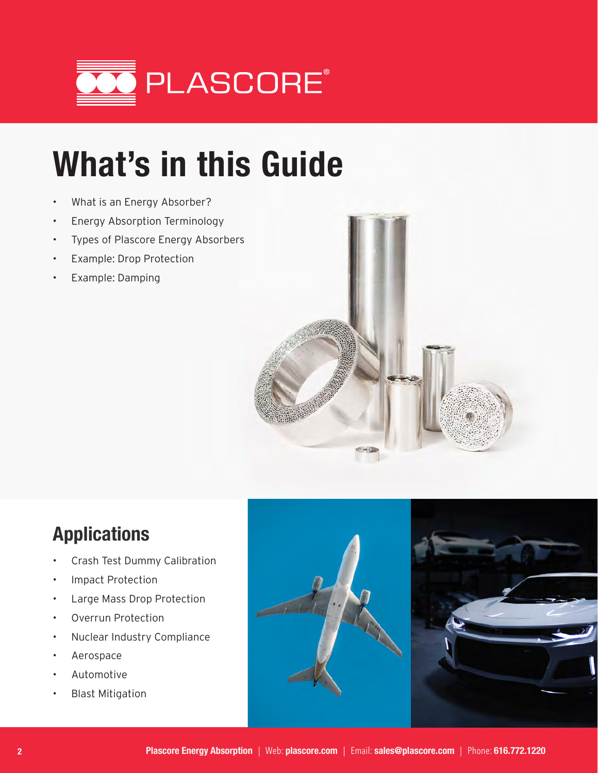

## **What's in this Guide**

- What is an Energy Absorber?
- Energy Absorption Terminology
- Types of Plascore Energy Absorbers
- Example: Drop Protection
- Example: Damping



### **Applications**

- Crash Test Dummy Calibration
- Impact Protection
- Large Mass Drop Protection
- Overrun Protection
- Nuclear Industry Compliance
- Aerospace
- Automotive
- Blast Mitigation

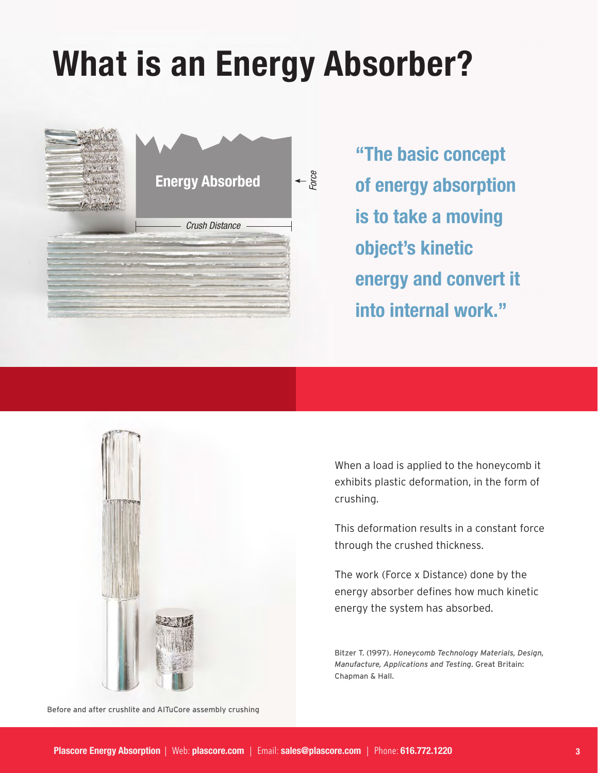## **What is an Energy Absorber?**



**"The basic concept of energy absorption is to take a moving object's kinetic energy and convert it into internal work."**



When a load is applied to the honeycomb it exhibits plastic deformation, in the form of crushing.

This deformation results in a constant force through the crushed thickness.

The work (Force x Distance) done by the energy absorber defines how much kinetic energy the system has absorbed.

Bitzer T. (1997). *Honeycomb Technology Materials, Design, Manufacture, Applications and Testing*. Great Britain: Chapman & Hall.

Before and after crushlite and AlTuCore assembly crushing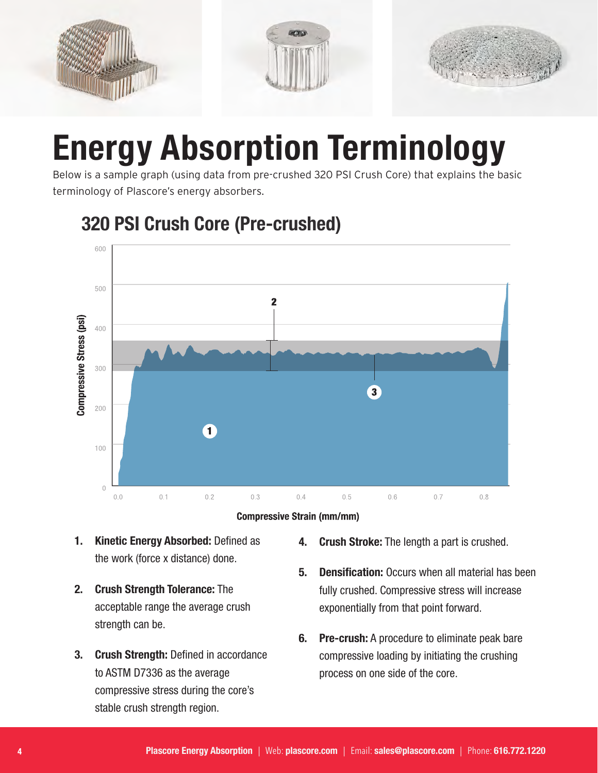

### **Energy Absorption Terminology**

Below is a sample graph (using data from pre-crushed 320 PSI Crush Core) that explains the basic terminology of Plascore's energy absorbers.



#### **320 PSI Crush Core (Pre-crushed)**



- **1. Kinetic Energy Absorbed:** Defined as the work (force x distance) done.
- **2. Crush Strength Tolerance:** The acceptable range the average crush strength can be.
- **3. Crush Strength:** Defined in accordance to ASTM D7336 as the average compressive stress during the core's stable crush strength region.
- **4. Crush Stroke:** The length a part is crushed.
- **5. Densification:** Occurs when all material has been fully crushed. Compressive stress will increase exponentially from that point forward.
- **6. Pre-crush:** A procedure to eliminate peak bare compressive loading by initiating the crushing process on one side of the core.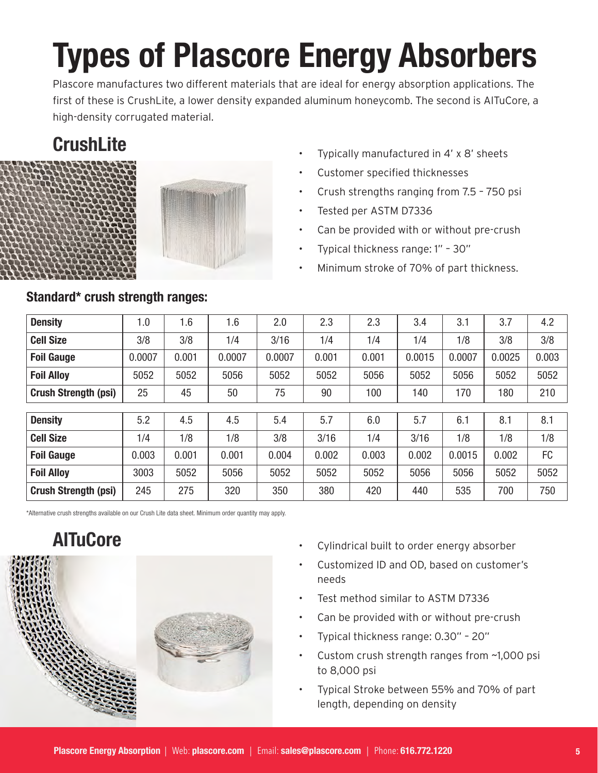# **Types of Plascore Energy Absorbers**

Plascore manufactures two different materials that are ideal for energy absorption applications. The first of these is CrushLite, a lower density expanded aluminum honeycomb. The second is AlTuCore, a high-density corrugated material.

### **CrushLite**



- Typically manufactured in 4' x 8' sheets
- Customer specified thicknesses
- Crush strengths ranging from 7.5 750 psi
- Tested per ASTM D7336
- Can be provided with or without pre-crush
- Typical thickness range: 1" 30"
- Minimum stroke of 70% of part thickness.

| <b>Density</b>              | $\mathsf{I}.\mathsf{0}$ | 1.6   | 1.6    | 2.0    | 2.3   | 2.3   | 3.4    | 3.1    | 3.7    | 4.2   |
|-----------------------------|-------------------------|-------|--------|--------|-------|-------|--------|--------|--------|-------|
| <b>Cell Size</b>            | 3/8                     | 3/8   | 1/4    | 3/16   | 1/4   | 1/4   | 1/4    | 1/8    | 3/8    | 3/8   |
| <b>Foil Gauge</b>           | 0.0007                  | 0.001 | 0.0007 | 0.0007 | 0.001 | 0.001 | 0.0015 | 0.0007 | 0.0025 | 0.003 |
| <b>Foil Alloy</b>           | 5052                    | 5052  | 5056   | 5052   | 5052  | 5056  | 5052   | 5056   | 5052   | 5052  |
| <b>Crush Strength (psi)</b> | 25                      | 45    | 50     | 75     | 90    | 100   | 140    | 170    | 180    | 210   |
|                             |                         |       |        |        |       |       |        |        |        |       |
| <b>Density</b>              | 5.2                     | 4.5   | 4.5    | 5.4    | 5.7   | 6.0   | 5.7    | 6.1    | 8.1    | 8.1   |
| <b>Cell Size</b>            | 1/4                     | 1/8   | 1/8    | 3/8    | 3/16  | 1/4   | 3/16   | 1/8    | 1/8    | 1/8   |
| <b>Foil Gauge</b>           | 0.003                   | 0.001 | 0.001  | 0.004  | 0.002 | 0.003 | 0.002  | 0.0015 | 0.002  | FC    |
| <b>Foil Alloy</b>           | 3003                    | 5052  | 5056   | 5052   | 5052  | 5052  | 5056   | 5056   | 5052   | 5052  |
| <b>Crush Strength (psi)</b> | 245                     | 275   | 320    | 350    | 380   | 420   | 440    | 535    | 700    | 750   |

\*Alternative crush strengths available on our Crush Lite data sheet. Minimum order quantity may apply.

#### **AlTuCore**



- Cylindrical built to order energy absorber
- Customized ID and OD, based on customer's needs
- Test method similar to ASTM D7336
- Can be provided with or without pre-crush
- Typical thickness range: 0.30" 20"
- Custom crush strength ranges from ~1,000 psi to 8,000 psi
- Typical Stroke between 55% and 70% of part length, depending on density

#### **Standard\* crush strength ranges:**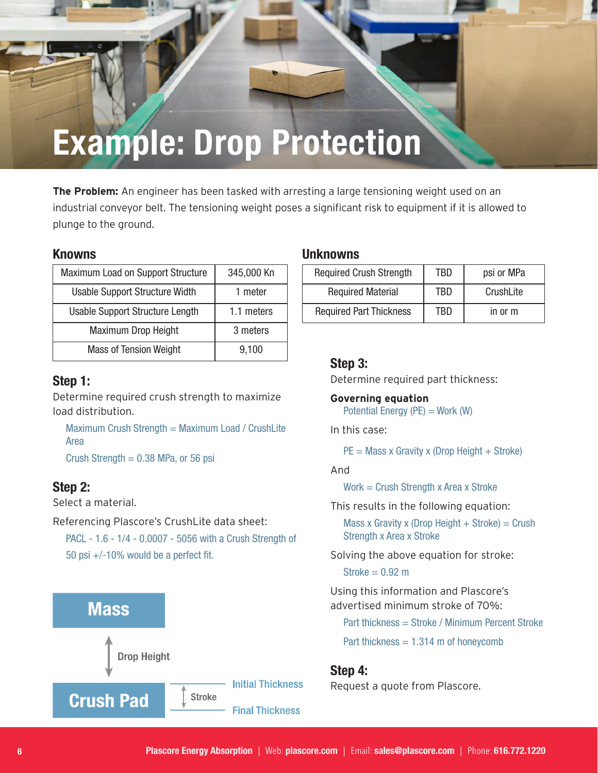### **Example: Drop Protection**

**The Problem:** An engineer has been tasked with arresting a large tensioning weight used on an industrial conveyor belt. The tensioning weight poses a significant risk to equipment if it is allowed to plunge to the ground.

| Maximum Load on Support Structure      | 345,000 Kn |
|----------------------------------------|------------|
| Usable Support Structure Width         | 1 meter    |
| <b>Usable Support Structure Length</b> | 1.1 meters |
| <b>Maximum Drop Height</b>             | 3 meters   |
| <b>Mass of Tension Weight</b>          | 9,100      |

#### **Step 1:**

Determine required crush strength to maximize load distribution.

Maximum Crush Strength = Maximum Load / CrushLite Area

Crush Strength  $= 0.38$  MPa, or 56 psi

#### **Step 2:**

Select a material.

Referencing Plascore's CrushLite data sheet:

PACL - 1.6 - 1/4 - 0.0007 - 5056 with a Crush Strength of 50 psi +/-10% would be a perfect fit.



#### **Knowns Unknowns**

| <b>Required Crush Strength</b> | TBD | psi or MPa |
|--------------------------------|-----|------------|
| <b>Required Material</b>       | TBD | CrushLite  |
| <b>Required Part Thickness</b> | TBD | in or m    |

#### **Step 3:**

Determine required part thickness:

**Governing equation** Potential Energy  $(PE) = Work (W)$ 

In this case:

 $PE = Mass \times Gravity \times (Drop Height + Stroke)$ 

#### And

Work = Crush Strength x Area x Stroke

This results in the following equation:

Mass x Gravity x (Drop Height  $+$  Stroke) = Crush Strength x Area x Stroke

Solving the above equation for stroke:

 $Stroke = 0.92 m$ 

Using this information and Plascore's advertised minimum stroke of 70%:

Part thickness = Stroke / Minimum Percent Stroke

Part thickness  $= 1.314$  m of honeycomb

#### **Step 4:**

Request a quote from Plascore.